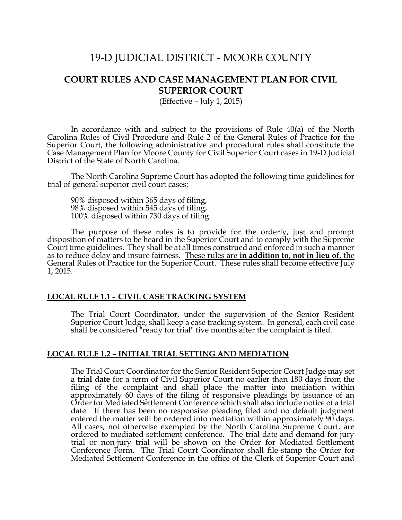# 19-D JUDICIAL DISTRICT - MOORE COUNTY

# **COURT RULES AND CASE MANAGEMENT PLAN FOR CIVIL SUPERIOR COURT**

(Effective – July 1, 2015)

In accordance with and subject to the provisions of Rule 40(a) of the North Carolina Rules of Civil Procedure and Rule 2 of the General Rules of Practice for the Superior Court, the following administrative and procedural rules shall constitute the Case Management Plan for Moore County for Civil Superior Court cases in 19-D Judicial District of the State of North Carolina.

The North Carolina Supreme Court has adopted the following time guidelines for trial of general superior civil court cases:

90% disposed within 365 days of filing, 98% disposed within 545 days of filing, 100% disposed within 730 days of filing.

The purpose of these rules is to provide for the orderly, just and prompt disposition of matters to be heard in the Superior Court and to comply with the Supreme Court time guidelines. They shall be at all times construed and enforced in such a manner as to reduce delay and insure fairness. These rules are **in addition to, not in lieu of,** the General Rules of Practice for the Superior Court. These rules shall become effective July 1, 2015.

#### **LOCAL RULE 1.1 - CIVIL CASE TRACKING SYSTEM**

The Trial Court Coordinator, under the supervision of the Senior Resident Superior Court Judge, shall keep a case tracking system. In general, each civil case shall be considered "ready for trial" five months after the complaint is filed.

## **LOCAL RULE 1.2 – INITIAL TRIAL SETTING AND MEDIATION**

The Trial Court Coordinator for the Senior Resident Superior Court Judge may set a **trial date** for a term of Civil Superior Court no earlier than 180 days from the filing of the complaint and shall place the matter into mediation within approximately 60 days of the filing of responsive pleadings by issuance of an Order for Mediated Settlement Conference which shall also include notice of a trial date. If there has been no responsive pleading filed and no default judgment entered the matter will be ordered into mediation within approximately 90 days. All cases, not otherwise exempted by the North Carolina Supreme Court, are ordered to mediated settlement conference. The trial date and demand for jury trial or non-jury trial will be shown on the Order for Mediated Settlement Conference Form. The Trial Court Coordinator shall file-stamp the Order for Mediated Settlement Conference in the office of the Clerk of Superior Court and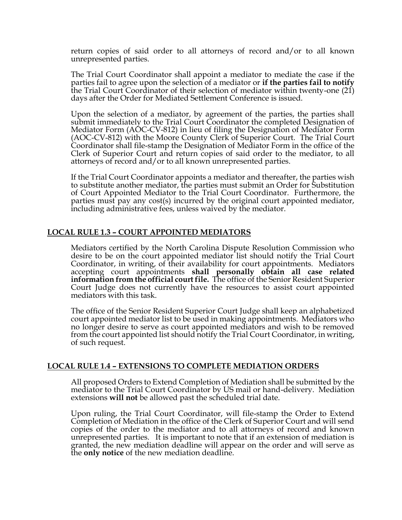return copies of said order to all attorneys of record and/or to all known unrepresented parties.

The Trial Court Coordinator shall appoint a mediator to mediate the case if the parties fail to agree upon the selection of a mediator or **if the parties fail to notify** the Trial Court Coordinator of their selection of mediator within twenty-one (21) days after the Order for Mediated Settlement Conference is issued.

Upon the selection of a mediator, by agreement of the parties, the parties shall submit immediately to the Trial Court Coordinator the completed Designation of Mediator Form (AOC-CV-812) in lieu of filing the Designation of Mediator Form (AOC-CV-812) with the Moore County Clerk of Superior Court. The Trial Court Coordinator shall file-stamp the Designation of Mediator Form in the office of the Clerk of Superior Court and return copies of said order to the mediator, to all attorneys of record and/or to all known unrepresented parties.

If the Trial Court Coordinator appoints a mediator and thereafter, the parties wish to substitute another mediator, the parties must submit an Order for Substitution of Court Appointed Mediator to the Trial Court Coordinator. Furthermore, the parties must pay any cost(s) incurred by the original court appointed mediator, including administrative fees, unless waived by the mediator.

#### **LOCAL RULE 1.3 – COURT APPOINTED MEDIATORS**

Mediators certified by the North Carolina Dispute Resolution Commission who desire to be on the court appointed mediator list should notify the Trial Court Coordinator, in writing, of their availability for court appointments. Mediators accepting court appointments **shall personally obtain all case related information from the official court file.** The office of the Senior Resident Superior Court Judge does not currently have the resources to assist court appointed mediators with this task.

The office of the Senior Resident Superior Court Judge shall keep an alphabetized court appointed mediator list to be used in making appointments. Mediators who no longer desire to serve as court appointed mediators and wish to be removed from the court appointed list should notify the Trial Court Coordinator, in writing, of such request.

#### **LOCAL RULE 1.4 – EXTENSIONS TO COMPLETE MEDIATION ORDERS**

All proposed Orders to Extend Completion of Mediation shall be submitted by the mediator to the Trial Court Coordinator by US mail or hand-delivery. Mediation extensions **will not** be allowed past the scheduled trial date.

Upon ruling, the Trial Court Coordinator, will file-stamp the Order to Extend Completion of Mediation in the office of the Clerk of Superior Court and will send copies of the order to the mediator and to all attorneys of record and known unrepresented parties. It is important to note that if an extension of mediation is granted, the new mediation deadline will appear on the order and will serve as the **only notice** of the new mediation deadline.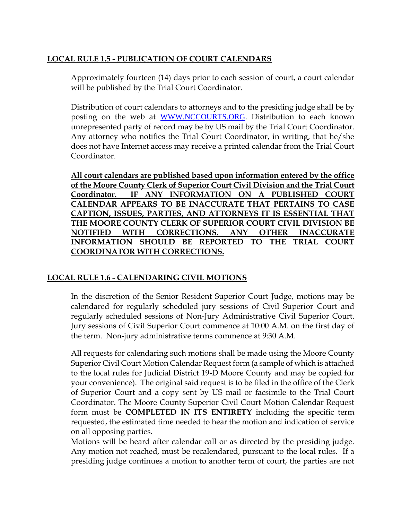# **LOCAL RULE 1.5 - PUBLICATION OF COURT CALENDARS**

Approximately fourteen (14) days prior to each session of court, a court calendar will be published by the Trial Court Coordinator.

Distribution of court calendars to attorneys and to the presiding judge shall be by posting on the web at [WWW.NCCOURTS.ORG](http://www.nccourts.org/). Distribution to each known unrepresented party of record may be by US mail by the Trial Court Coordinator. Any attorney who notifies the Trial Court Coordinator, in writing, that he/she does not have Internet access may receive a printed calendar from the Trial Court Coordinator.

**All court calendars are published based upon information entered by the office of the Moore County Clerk of Superior Court Civil Division and the Trial Court Coordinator. IF ANY INFORMATION ON A PUBLISHED COURT CALENDAR APPEARS TO BE INACCURATE THAT PERTAINS TO CASE CAPTION, ISSUES, PARTIES, AND ATTORNEYS IT IS ESSENTIAL THAT THE MOORE COUNTY CLERK OF SUPERIOR COURT CIVIL DIVISION BE NOTIFIED WITH CORRECTIONS. ANY OTHER INACCURATE INFORMATION SHOULD BE REPORTED TO THE TRIAL COURT COORDINATOR WITH CORRECTIONS.** 

# **LOCAL RULE 1.6 - CALENDARING CIVIL MOTIONS**

In the discretion of the Senior Resident Superior Court Judge, motions may be calendared for regularly scheduled jury sessions of Civil Superior Court and regularly scheduled sessions of Non-Jury Administrative Civil Superior Court. Jury sessions of Civil Superior Court commence at 10:00 A.M. on the first day of the term. Non-jury administrative terms commence at 9:30 A.M.

All requests for calendaring such motions shall be made using the Moore County Superior Civil Court Motion Calendar Request form (a sample of which is attached to the local rules for Judicial District 19-D Moore County and may be copied for your convenience). The original said request is to be filed in the office of the Clerk of Superior Court and a copy sent by US mail or facsimile to the Trial Court Coordinator. The Moore County Superior Civil Court Motion Calendar Request form must be **COMPLETED IN ITS ENTIRETY** including the specific term requested, the estimated time needed to hear the motion and indication of service on all opposing parties.

Motions will be heard after calendar call or as directed by the presiding judge. Any motion not reached, must be recalendared, pursuant to the local rules. If a presiding judge continues a motion to another term of court, the parties are not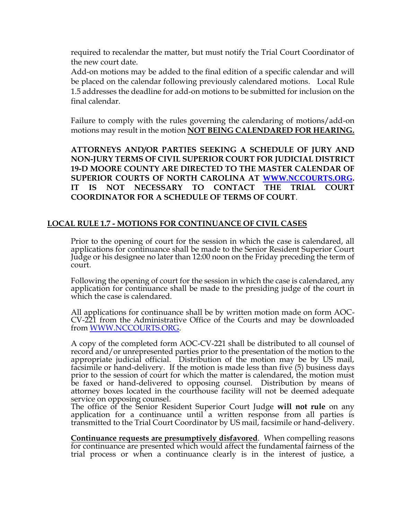required to recalendar the matter, but must notify the Trial Court Coordinator of the new court date.

Add-on motions may be added to the final edition of a specific calendar and will be placed on the calendar following previously calendared motions. Local Rule 1.5 addresses the deadline for add-on motions to be submitted for inclusion on the final calendar.

Failure to comply with the rules governing the calendaring of motions/add-on motions may result in the motion **NOT BEING CALENDARED FOR HEARING.**

**ATTORNEYS AND/OR PARTIES SEEKING A SCHEDULE OF JURY AND NON-JURY TERMS OF CIVIL SUPERIOR COURT FOR JUDICIAL DISTRICT 19-D MOORE COUNTY ARE DIRECTED TO THE MASTER CALENDAR OF SUPERIOR COURTS OF NORTH CAROLINA AT [WWW.NCCOURTS.ORG](http://www.nccourts.org/). IT IS NOT NECESSARY TO CONTACT THE TRIAL COURT COORDINATOR FOR A SCHEDULE OF TERMS OF COURT**.

# **LOCAL RULE 1.7 - MOTIONS FOR CONTINUANCE OF CIVIL CASES**

Prior to the opening of court for the session in which the case is calendared, all applications for continuance shall be made to the Senior Resident Superior Court Judge or his designee no later than 12:00 noon on the Friday preceding the term of court.

Following the opening of court for the session in which the case is calendared, any application for continuance shall be made to the presiding judge of the court in which the case is calendared.

All applications for continuance shall be by written motion made on form AOC-CV-221 from the Administrative Office of the Courts and may be downloaded from [WWW.NCCOURTS.ORG.](http://www.nccourts.org/)

A copy of the completed form AOC-CV-221 shall be distributed to all counsel of record and/or unrepresented parties prior to the presentation of the motion to the appropriate judicial official. Distribution of the motion may be by US mail, facsimile or hand-delivery. If the motion is made less than five (5) business days prior to the session of court for which the matter is calendared, the motion must be faxed or hand-delivered to opposing counsel. Distribution by means of attorney boxes located in the courthouse facility will not be deemed adequate service on opposing counsel.

The office of the Senior Resident Superior Court Judge **will not rule** on any application for a continuance until a written response from all parties is transmitted to the Trial Court Coordinator by US mail, facsimile or hand-delivery.

**Continuance requests are presumptively disfavored**. When compelling reasons for continuance are presented which would affect the fundamental fairness of the trial process or when a continuance clearly is in the interest of justice, a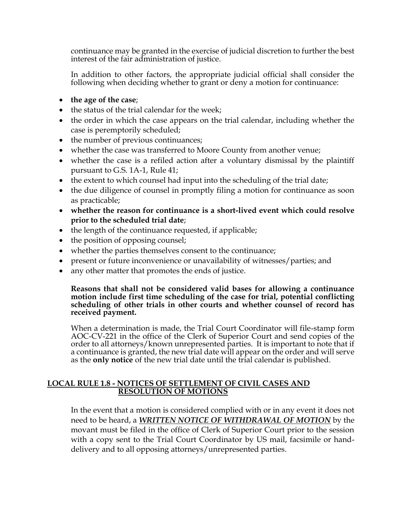continuance may be granted in the exercise of judicial discretion to further the best interest of the fair administration of justice.

In addition to other factors, the appropriate judicial official shall consider the following when deciding whether to grant or deny a motion for continuance:

- **the age of the case**;
- the status of the trial calendar for the week;
- the order in which the case appears on the trial calendar, including whether the case is peremptorily scheduled;
- the number of previous continuances;
- whether the case was transferred to Moore County from another venue;
- whether the case is a refiled action after a voluntary dismissal by the plaintiff pursuant to G.S. 1A-1, Rule 41;
- the extent to which counsel had input into the scheduling of the trial date;
- the due diligence of counsel in promptly filing a motion for continuance as soon as practicable;
- **whether the reason for continuance is a short-lived event which could resolve prior to the scheduled trial date**;
- the length of the continuance requested, if applicable;
- the position of opposing counsel;
- whether the parties themselves consent to the continuance;
- present or future inconvenience or unavailability of witnesses/parties; and
- any other matter that promotes the ends of justice.

#### **Reasons that shall not be considered valid bases for allowing a continuance motion include first time scheduling of the case for trial, potential conflicting scheduling of other trials in other courts and whether counsel of record has received payment.**

When a determination is made, the Trial Court Coordinator will file-stamp form AOC-CV-221 in the office of the Clerk of Superior Court and send copies of the order to all attorneys/known unrepresented parties. It is important to note that if a continuance is granted, the new trial date will appear on the order and will serve as the **only notice** of the new trial date until the trial calendar is published.

#### **LOCAL RULE 1.8 - NOTICES OF SETTLEMENT OF CIVIL CASES AND RESOLUTION OF MOTIONS**

In the event that a motion is considered complied with or in any event it does not need to be heard, a *WRITTEN NOTICE OF WITHDRAWAL OF MOTION* by the movant must be filed in the office of Clerk of Superior Court prior to the session with a copy sent to the Trial Court Coordinator by US mail, facsimile or handdelivery and to all opposing attorneys/unrepresented parties.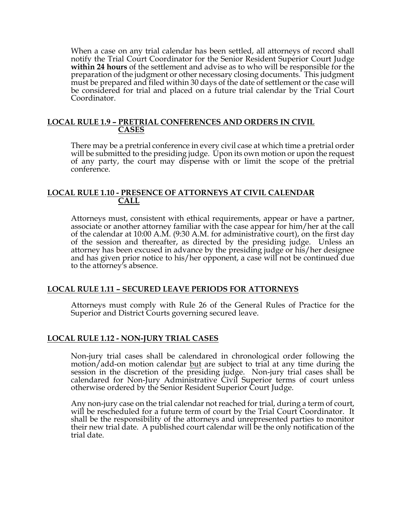When a case on any trial calendar has been settled, all attorneys of record shall notify the Trial Court Coordinator for the Senior Resident Superior Court Judge **within 24 hours** of the settlement and advise as to who will be responsible for the preparation of the judgment or other necessary closing documents. This judgment must be prepared and filed within 30 days of the date of settlement or the case will be considered for trial and placed on a future trial calendar by the Trial Court Coordinator.

#### **LOCAL RULE 1.9 – PRETRIAL CONFERENCES AND ORDERS IN CIVIL CASES**

There may be a pretrial conference in every civil case at which time a pretrial order will be submitted to the presiding judge. Upon its own motion or upon the request of any party, the court may dispense with or limit the scope of the pretrial conference.

#### **LOCAL RULE 1.10 - PRESENCE OF ATTORNEYS AT CIVIL CALENDAR CALL**

Attorneys must, consistent with ethical requirements, appear or have a partner, associate or another attorney familiar with the case appear for him/her at the call of the calendar at 10:00 A.M. (9:30 A.M. for administrative court), on the first day of the session and thereafter, as directed by the presiding judge. Unless an attorney has been excused in advance by the presiding judge or his/her designee and has given prior notice to his/her opponent, a case will not be continued due to the attorney's absence.

## **LOCAL RULE 1.11 – SECURED LEAVE PERIODS FOR ATTORNEYS**

Attorneys must comply with Rule 26 of the General Rules of Practice for the Superior and District Courts governing secured leave.

## **LOCAL RULE 1.12 - NON-JURY TRIAL CASES**

Non-jury trial cases shall be calendared in chronological order following the motion/add-on motion calendar <u>but</u> are subject to trial at any time during the session in the discretion of the presiding judge. Non-jury trial cases shall be calendared for Non-Jury Administrative Civil Superior terms of court unless otherwise ordered by the Senior Resident Superior Court Judge.

Any non-jury case on the trial calendar not reached for trial, during a term of court, will be rescheduled for a future term of court by the Trial Court Coordinator. It shall be the responsibility of the attorneys and unrepresented parties to monitor their new trial date. A published court calendar will be the only notification of the trial date.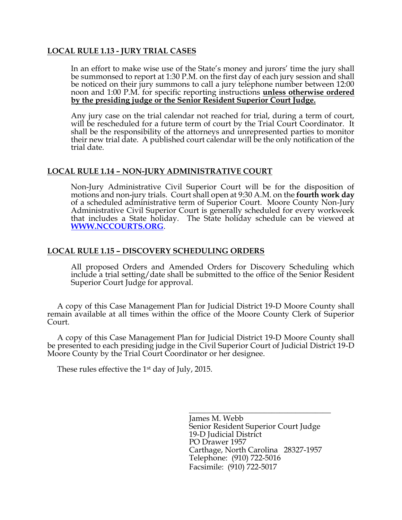## **LOCAL RULE 1.13 - JURY TRIAL CASES**

In an effort to make wise use of the State's money and jurors' time the jury shall be summonsed to report at 1:30 P.M. on the first day of each jury session and shall be noticed on their jury summons to call a jury telephone number between 12:00 noon and 1:00 P.M. for specific reporting instructions **unless otherwise ordered by the presiding judge or the Senior Resident Superior Court Judge.**

Any jury case on the trial calendar not reached for trial, during a term of court, will be rescheduled for a future term of court by the Trial Court Coordinator. It shall be the responsibility of the attorneys and unrepresented parties to monitor their new trial date. A published court calendar will be the only notification of the trial date.

## **LOCAL RULE 1.14 – NON-JURY ADMINISTRATIVE COURT**

Non-Jury Administrative Civil Superior Court will be for the disposition of motions and non-jury trials. Court shall open at 9:30 A.M. on the **fourth work day** of a scheduled administrative term of Superior Court. Moore County Non-Jury Administrative Civil Superior Court is generally scheduled for every workweek that includes a State holiday. The State holiday schedule can be viewed at **[WWW.NCCOURTS.ORG](http://www.nccourts.org/)**.

## **LOCAL RULE 1.15 – DISCOVERY SCHEDULING ORDERS**

All proposed Orders and Amended Orders for Discovery Scheduling which include a trial setting/date shall be submitted to the office of the Senior Resident Superior Court Judge for approval.

 A copy of this Case Management Plan for Judicial District 19-D Moore County shall remain available at all times within the office of the Moore County Clerk of Superior Court.

 A copy of this Case Management Plan for Judicial District 19-D Moore County shall be presented to each presiding judge in the Civil Superior Court of Judicial District 19-D Moore County by the Trial Court Coordinator or her designee.

These rules effective the 1st day of July, 2015.

\_\_\_\_\_\_\_\_\_\_\_\_\_\_\_\_\_\_\_\_\_\_\_\_\_\_\_\_\_\_\_\_\_\_\_\_ James M. Webb Senior Resident Superior Court Judge 19-D Judicial District PO Drawer 1957 Carthage, North Carolina 28327-1957 Telephone: (910) 722-5016 Facsimile: (910) 722-5017